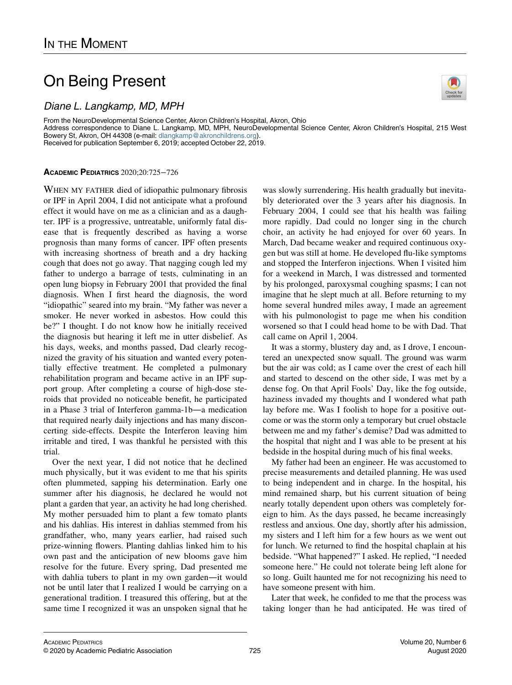## On Being Present

From the NeuroDevelopmental Science Center, Akron Children's Hospital, Akron, Ohio

Address correspondence to Diane L. Langkamp, MD, MPH, NeuroDevelopmental Science Center, Akron Children's Hospital, 215 West Bowery St, Akron, OH 44308 (e-mail: [dlangkamp@akronchildrens.org](mailto:dlangkamp@akronchildrens.org)). Received for publication September 6, 2019; accepted October 22, 2019.

## ACADEMIC PEDIATRICS 2020;20:725−726

WHEN MY FATHER died of idiopathic pulmonary fibrosis or IPF in April 2004, I did not anticipate what a profound effect it would have on me as a clinician and as a daughter. IPF is a progressive, untreatable, uniformly fatal disease that is frequently described as having a worse prognosis than many forms of cancer. IPF often presents with increasing shortness of breath and a dry hacking cough that does not go away. That nagging cough led my father to undergo a barrage of tests, culminating in an open lung biopsy in February 2001 that provided the final diagnosis. When I first heard the diagnosis, the word "idiopathic" seared into my brain. "My father was never a smoker. He never worked in asbestos. How could this be?" I thought. I do not know how he initially received the diagnosis but hearing it left me in utter disbelief. As his days, weeks, and months passed, Dad clearly recognized the gravity of his situation and wanted every potentially effective treatment. He completed a pulmonary rehabilitation program and became active in an IPF support group. After completing a course of high-dose steroids that provided no noticeable benefit, he participated in a Phase 3 trial of Interferon gamma-1b—a medication that required nearly daily injections and has many disconcerting side-effects. Despite the Interferon leaving him irritable and tired, I was thankful he persisted with this trial.

Over the next year, I did not notice that he declined much physically, but it was evident to me that his spirits often plummeted, sapping his determination. Early one summer after his diagnosis, he declared he would not plant a garden that year, an activity he had long cherished. My mother persuaded him to plant a few tomato plants and his dahlias. His interest in dahlias stemmed from his grandfather, who, many years earlier, had raised such prize-winning flowers. Planting dahlias linked him to his own past and the anticipation of new blooms gave him resolve for the future. Every spring, Dad presented me with dahlia tubers to plant in my own garden—it would not be until later that I realized I would be carrying on a generational tradition. I treasured this offering, but at the same time I recognized it was an unspoken signal that he

was slowly surrendering. His health gradually but inevitably deteriorated over the 3 years after his diagnosis. In February 2004, I could see that his health was failing more rapidly. Dad could no longer sing in the church choir, an activity he had enjoyed for over 60 years. In March, Dad became weaker and required continuous oxygen but was still at home. He developed flu-like symptoms and stopped the Interferon injections. When I visited him for a weekend in March, I was distressed and tormented by his prolonged, paroxysmal coughing spasms; I can not imagine that he slept much at all. Before returning to my home several hundred miles away, I made an agreement with his pulmonologist to page me when his condition worsened so that I could head home to be with Dad. That call came on April 1, 2004.

It was a stormy, blustery day and, as I drove, I encountered an unexpected snow squall. The ground was warm but the air was cold; as I came over the crest of each hill and started to descend on the other side, I was met by a dense fog. On that April Fools' Day, like the fog outside, haziness invaded my thoughts and I wondered what path lay before me. Was I foolish to hope for a positive outcome or was the storm only a temporary but cruel obstacle between me and my father's demise? Dad was admitted to the hospital that night and I was able to be present at his bedside in the hospital during much of his final weeks.

My father had been an engineer. He was accustomed to precise measurements and detailed planning. He was used to being independent and in charge. In the hospital, his mind remained sharp, but his current situation of being nearly totally dependent upon others was completely foreign to him. As the days passed, he became increasingly restless and anxious. One day, shortly after his admission, my sisters and I left him for a few hours as we went out for lunch. We returned to find the hospital chaplain at his bedside. "What happened?" I asked. He replied, "I needed someone here." He could not tolerate being left alone for so long. Guilt haunted me for not recognizing his need to have someone present with him.

Later that week, he confided to me that the process was taking longer than he had anticipated. He was tired of